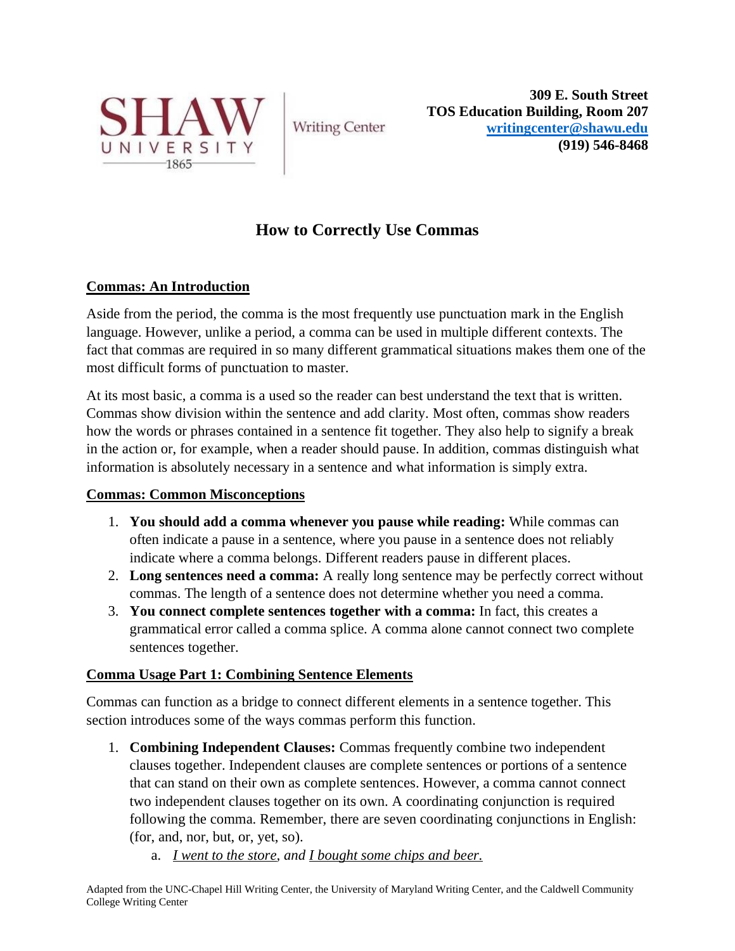

**Writing Center** 

**309 E. South Street TOS Education Building, Room 207 [writingcenter@shawu.edu](mailto:writingcenter@shawu.edu) (919) 546-8468**

# **How to Correctly Use Commas**

# **Commas: An Introduction**

Aside from the period, the comma is the most frequently use punctuation mark in the English language. However, unlike a period, a comma can be used in multiple different contexts. The fact that commas are required in so many different grammatical situations makes them one of the most difficult forms of punctuation to master.

At its most basic, a comma is a used so the reader can best understand the text that is written. Commas show division within the sentence and add clarity. Most often, commas show readers how the words or phrases contained in a sentence fit together. They also help to signify a break in the action or, for example, when a reader should pause. In addition, commas distinguish what information is absolutely necessary in a sentence and what information is simply extra.

## **Commas: Common Misconceptions**

- 1. **You should add a comma whenever you pause while reading:** While commas can often indicate a pause in a sentence, where you pause in a sentence does not reliably indicate where a comma belongs. Different readers pause in different places.
- 2. **Long sentences need a comma:** A really long sentence may be perfectly correct without commas. The length of a sentence does not determine whether you need a comma.
- 3. **You connect complete sentences together with a comma:** In fact, this creates a grammatical error called a comma splice. A comma alone cannot connect two complete sentences together.

## **Comma Usage Part 1: Combining Sentence Elements**

Commas can function as a bridge to connect different elements in a sentence together. This section introduces some of the ways commas perform this function.

- 1. **Combining Independent Clauses:** Commas frequently combine two independent clauses together. Independent clauses are complete sentences or portions of a sentence that can stand on their own as complete sentences. However, a comma cannot connect two independent clauses together on its own. A coordinating conjunction is required following the comma. Remember, there are seven coordinating conjunctions in English: (for, and, nor, but, or, yet, so).
	- a. *I went to the store, and I bought some chips and beer.*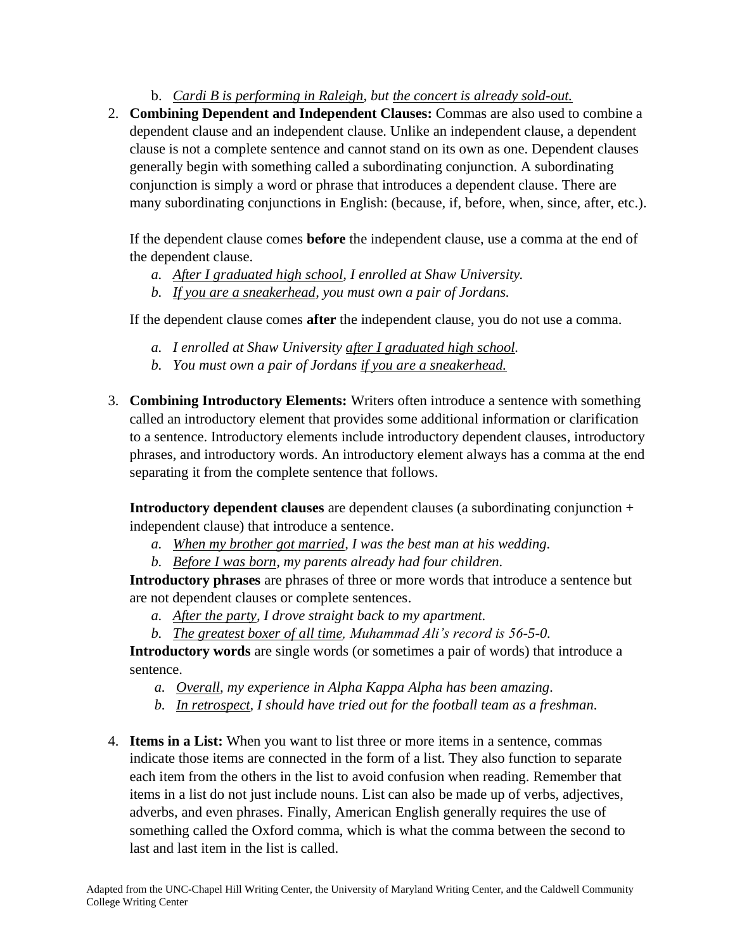b. *Cardi B is performing in Raleigh, but the concert is already sold-out.*

2. **Combining Dependent and Independent Clauses:** Commas are also used to combine a dependent clause and an independent clause. Unlike an independent clause, a dependent clause is not a complete sentence and cannot stand on its own as one. Dependent clauses generally begin with something called a subordinating conjunction. A subordinating conjunction is simply a word or phrase that introduces a dependent clause. There are many subordinating conjunctions in English: (because, if, before, when, since, after, etc.).

If the dependent clause comes **before** the independent clause, use a comma at the end of the dependent clause.

- *a. After I graduated high school, I enrolled at Shaw University.*
- *b. If you are a sneakerhead, you must own a pair of Jordans.*

If the dependent clause comes **after** the independent clause, you do not use a comma.

- *a. I enrolled at Shaw University after I graduated high school.*
- *b. You must own a pair of Jordans if you are a sneakerhead.*
- 3. **Combining Introductory Elements:** Writers often introduce a sentence with something called an introductory element that provides some additional information or clarification to a sentence. Introductory elements include introductory dependent clauses, introductory phrases, and introductory words. An introductory element always has a comma at the end separating it from the complete sentence that follows.

**Introductory dependent clauses** are dependent clauses (a subordinating conjunction + independent clause) that introduce a sentence.

- *a. When my brother got married, I was the best man at his wedding.*
- *b. Before I was born, my parents already had four children.*

**Introductory phrases** are phrases of three or more words that introduce a sentence but are not dependent clauses or complete sentences.

- *a. After the party, I drove straight back to my apartment.*
- *b. The greatest boxer of all time, Muhammad Ali's record is 56-5-0.*

**Introductory words** are single words (or sometimes a pair of words) that introduce a sentence.

- *a. Overall, my experience in Alpha Kappa Alpha has been amazing.*
- *b. In retrospect, I should have tried out for the football team as a freshman.*
- 4. **Items in a List:** When you want to list three or more items in a sentence, commas indicate those items are connected in the form of a list. They also function to separate each item from the others in the list to avoid confusion when reading. Remember that items in a list do not just include nouns. List can also be made up of verbs, adjectives, adverbs, and even phrases. Finally, American English generally requires the use of something called the Oxford comma, which is what the comma between the second to last and last item in the list is called.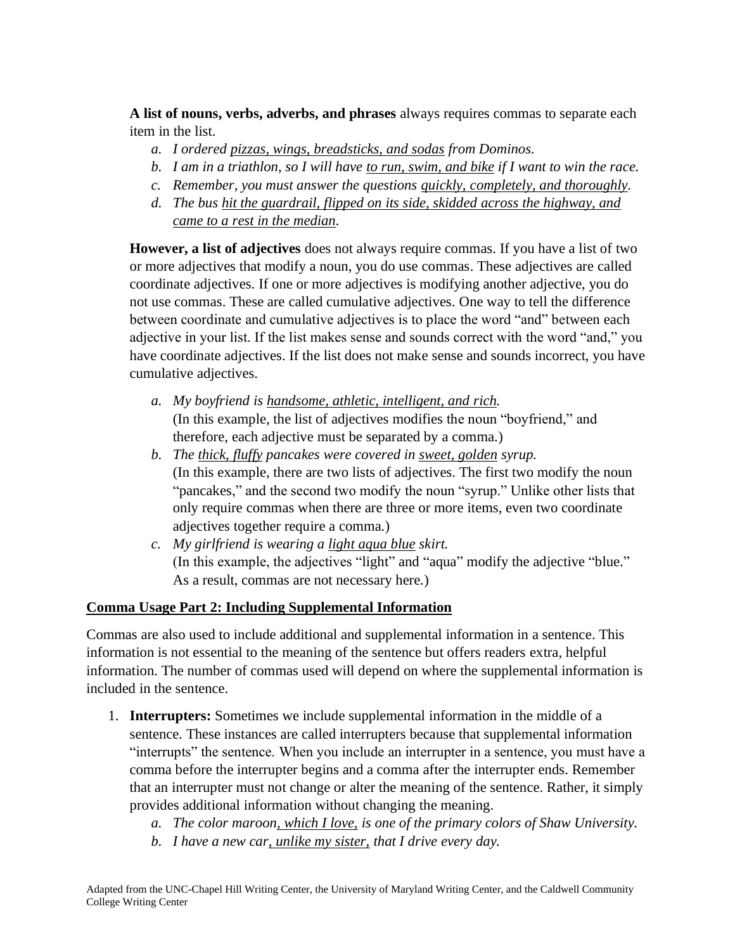**A list of nouns, verbs, adverbs, and phrases** always requires commas to separate each item in the list.

- *a. I ordered pizzas, wings, breadsticks, and sodas from Dominos.*
- *b. I am in a triathlon, so I will have to run, swim, and bike if I want to win the race.*
- *c. Remember, you must answer the questions quickly, completely, and thoroughly.*
- *d. The bus hit the guardrail, flipped on its side, skidded across the highway, and came to a rest in the median.*

**However, a list of adjectives** does not always require commas. If you have a list of two or more adjectives that modify a noun, you do use commas. These adjectives are called coordinate adjectives. If one or more adjectives is modifying another adjective, you do not use commas. These are called cumulative adjectives. One way to tell the difference between coordinate and cumulative adjectives is to place the word "and" between each adjective in your list. If the list makes sense and sounds correct with the word "and," you have coordinate adjectives. If the list does not make sense and sounds incorrect, you have cumulative adjectives.

- *a. My boyfriend is handsome, athletic, intelligent, and rich.* (In this example, the list of adjectives modifies the noun "boyfriend," and therefore, each adjective must be separated by a comma*.*)
- *b. The thick, fluffy pancakes were covered in sweet, golden syrup.* (In this example, there are two lists of adjectives. The first two modify the noun "pancakes," and the second two modify the noun "syrup." Unlike other lists that only require commas when there are three or more items, even two coordinate adjectives together require a comma*.*)
- *c. My girlfriend is wearing a light aqua blue skirt.* (In this example, the adjectives "light" and "aqua" modify the adjective "blue." As a result, commas are not necessary here*.*)

# **Comma Usage Part 2: Including Supplemental Information**

Commas are also used to include additional and supplemental information in a sentence. This information is not essential to the meaning of the sentence but offers readers extra, helpful information. The number of commas used will depend on where the supplemental information is included in the sentence.

- 1. **Interrupters:** Sometimes we include supplemental information in the middle of a sentence. These instances are called interrupters because that supplemental information "interrupts" the sentence. When you include an interrupter in a sentence, you must have a comma before the interrupter begins and a comma after the interrupter ends. Remember that an interrupter must not change or alter the meaning of the sentence. Rather, it simply provides additional information without changing the meaning.
	- *a. The color maroon, which I love, is one of the primary colors of Shaw University.*
	- *b. I have a new car, unlike my sister, that I drive every day.*